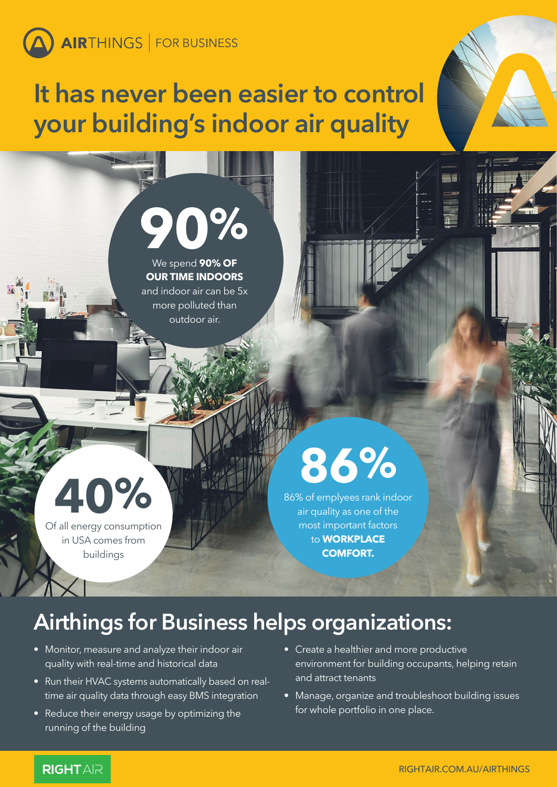### **It has never been easier to control your building's indoor air quality**

# **90%**

We spend **90% OF OUR TIME INDOORS**  and indoor air can be 5x more polluted than outdoor air.

## **40%**

Of all energy consumption in USA comes from buildings

## **86%**

86% of emplyees rank indoor air quality as one of the most important factors to **WORKPLACE COMFORT.** 

### **Airthings for Business helps organizations:**

- Monitor, measure and analyze their indoor air quality with real-time and historical data
- Run their HVAC systems automatically based on realtime air quality data through easy BMS integration
- Reduce their energy usage by optimizing the running of the building
- Create a healthier and more productive environment for building occupants, helping retain and attract tenants
- Manage, organize and troubleshoot building issues for whole portfolio in one place.

### **RIGHTAR**